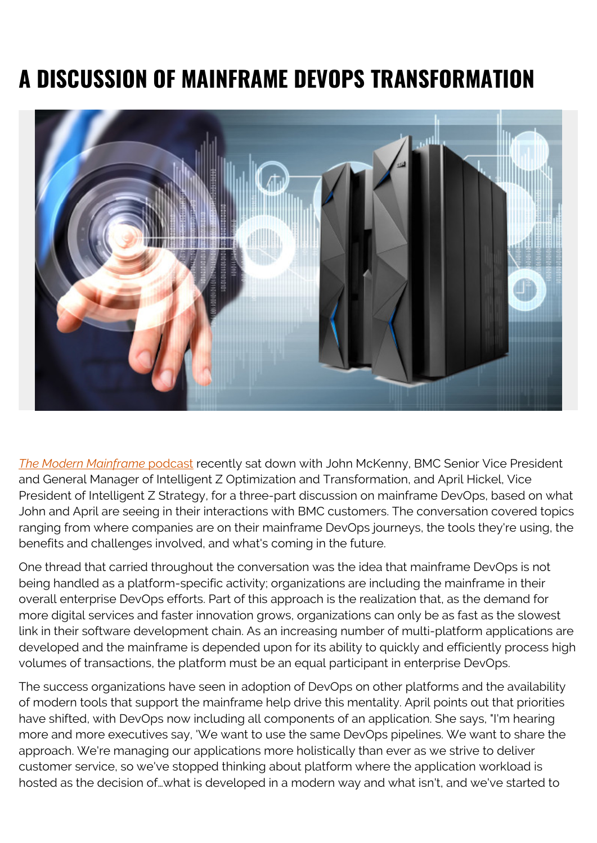## **A DISCUSSION OF MAINFRAME DEVOPS TRANSFORMATION**



*[The Modern Mainframe](https://soundcloud.com/modernmainframe)* [podcast](https://soundcloud.com/modernmainframe) recently sat down with John McKenny, BMC Senior Vice President and General Manager of Intelligent Z Optimization and Transformation, and April Hickel, Vice President of Intelligent Z Strategy, for a three-part discussion on mainframe DevOps, based on what John and April are seeing in their interactions with BMC customers. The conversation covered topics ranging from where companies are on their mainframe DevOps journeys, the tools they're using, the benefits and challenges involved, and what's coming in the future.

One thread that carried throughout the conversation was the idea that mainframe DevOps is not being handled as a platform-specific activity; organizations are including the mainframe in their overall enterprise DevOps efforts. Part of this approach is the realization that, as the demand for more digital services and faster innovation grows, organizations can only be as fast as the slowest link in their software development chain. As an increasing number of multi-platform applications are developed and the mainframe is depended upon for its ability to quickly and efficiently process high volumes of transactions, the platform must be an equal participant in enterprise DevOps.

The success organizations have seen in adoption of DevOps on other platforms and the availability of modern tools that support the mainframe help drive this mentality. April points out that priorities have shifted, with DevOps now including all components of an application. She says, "I'm hearing more and more executives say, 'We want to use the same DevOps pipelines. We want to share the approach. We're managing our applications more holistically than ever as we strive to deliver customer service, so we've stopped thinking about platform where the application workload is hosted as the decision of…what is developed in a modern way and what isn't, and we've started to